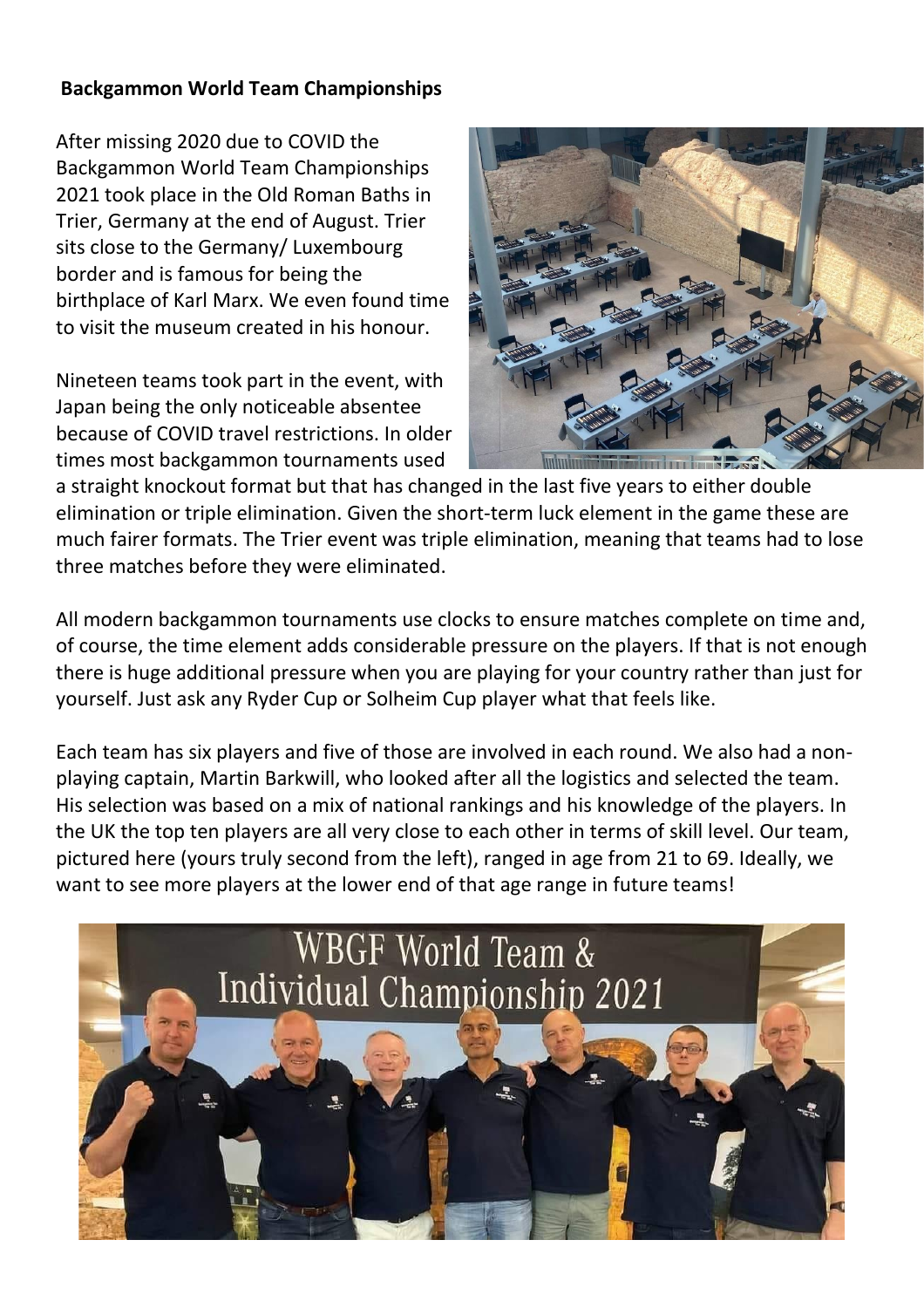## **Backgammon World Team Championships**

After missing 2020 due to COVID the Backgammon World Team Championships 2021 took place in the Old Roman Baths in Trier, Germany at the end of August. Trier sits close to the Germany/ Luxembourg border and is famous for being the birthplace of Karl Marx. We even found time to visit the museum created in his honour.

Nineteen teams took part in the event, with Japan being the only noticeable absentee because of COVID travel restrictions. In older times most backgammon tournaments used



a straight knockout format but that has changed in the last five years to either double elimination or triple elimination. Given the short-term luck element in the game these are much fairer formats. The Trier event was triple elimination, meaning that teams had to lose three matches before they were eliminated.

All modern backgammon tournaments use clocks to ensure matches complete on time and, of course, the time element adds considerable pressure on the players. If that is not enough there is huge additional pressure when you are playing for your country rather than just for yourself. Just ask any Ryder Cup or Solheim Cup player what that feels like.

Each team has six players and five of those are involved in each round. We also had a nonplaying captain, Martin Barkwill, who looked after all the logistics and selected the team. His selection was based on a mix of national rankings and his knowledge of the players. In the UK the top ten players are all very close to each other in terms of skill level. Our team, pictured here (yours truly second from the left), ranged in age from 21 to 69. Ideally, we want to see more players at the lower end of that age range in future teams!